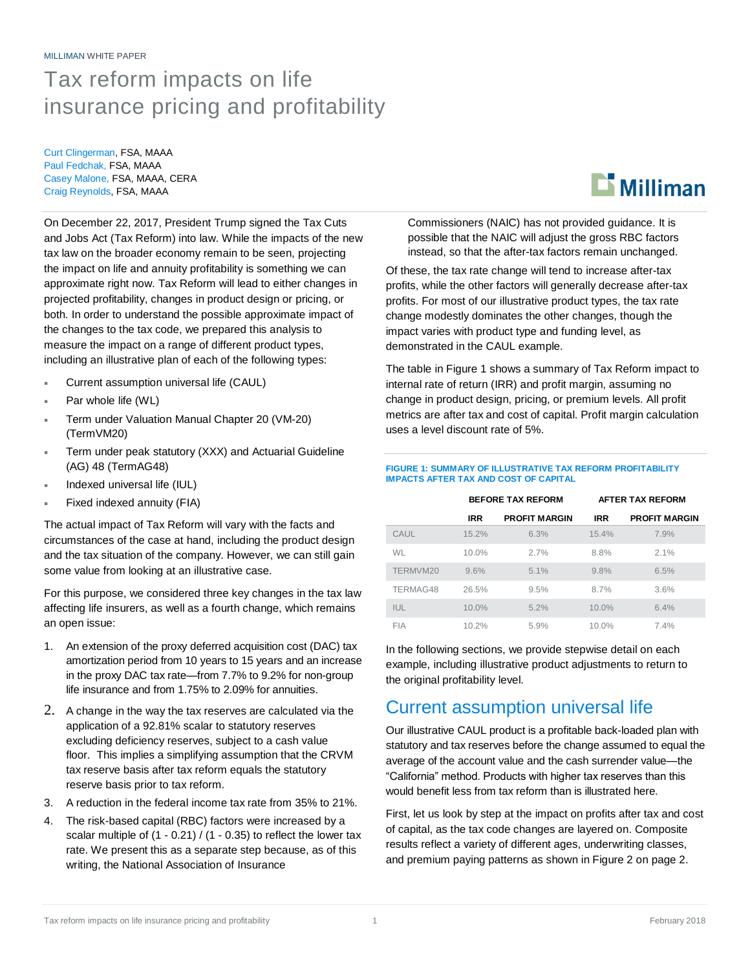#### MILLIMAN WHITE PAPER

## Tax reform impacts on life insurance pricing and profitability

Curt Clingerman, FSA, MAAA Paul Fedchak, FSA, MAAA Casey Malone, FSA, MAAA, CERA Craig Reynolds, FSA, MAAA

On December 22, 2017, President Trump signed the Tax Cuts and Jobs Act (Tax Reform) into law. While the impacts of the new tax law on the broader economy remain to be seen, projecting the impact on life and annuity profitability is something we can approximate right now. Tax Reform will lead to either changes in projected profitability, changes in product design or pricing, or both. In order to understand the possible approximate impact of the changes to the tax code, we prepared this analysis to measure the impact on a range of different product types, including an illustrative plan of each of the following types:

- Current assumption universal life (CAUL)
- Par whole life (WL)
- Term under Valuation Manual Chapter 20 (VM-20) (TermVM20)
- Term under peak statutory (XXX) and Actuarial Guideline (AG) 48 (TermAG48)
- Indexed universal life (IUL)
- Fixed indexed annuity (FIA)

The actual impact of Tax Reform will vary with the facts and circumstances of the case at hand, including the product design and the tax situation of the company. However, we can still gain some value from looking at an illustrative case.

For this purpose, we considered three key changes in the tax law affecting life insurers, as well as a fourth change, which remains an open issue:

- 1. An extension of the proxy deferred acquisition cost (DAC) tax amortization period from 10 years to 15 years and an increase in the proxy DAC tax rate—from 7.7% to 9.2% for non-group life insurance and from 1.75% to 2.09% for annuities.
- 2. A change in the way the tax reserves are calculated via the application of a 92.81% scalar to statutory reserves excluding deficiency reserves, subject to a cash value floor. This implies a simplifying assumption that the CRVM tax reserve basis after tax reform equals the statutory reserve basis prior to tax reform.
- 3. A reduction in the federal income tax rate from 35% to 21%.
- 4. The risk-based capital (RBC) factors were increased by a scalar multiple of (1 - 0.21) / (1 - 0.35) to reflect the lower tax rate. We present this as a separate step because, as of this writing, the National Association of Insurance

 $\mathbf{L}$  Milliman

Commissioners (NAIC) has not provided guidance. It is possible that the NAIC will adjust the gross RBC factors instead, so that the after-tax factors remain unchanged.

Of these, the tax rate change will tend to increase after-tax profits, while the other factors will generally decrease after-tax profits. For most of our illustrative product types, the tax rate change modestly dominates the other changes, though the impact varies with product type and funding level, as demonstrated in the CAUL example.

The table in Figure 1 shows a summary of Tax Reform impact to internal rate of return (IRR) and profit margin, assuming no change in product design, pricing, or premium levels. All profit metrics are after tax and cost of capital. Profit margin calculation uses a level discount rate of 5%.

#### **FIGURE 1: SUMMARY OF ILLUSTRATIVE TAX REFORM PROFITABILITY IMPACTS AFTER TAX AND COST OF CAPITAL**

|            | <b>BEFORE TAX REFORM</b> |                      | <b>AFTER TAX REFORM</b> |                      |
|------------|--------------------------|----------------------|-------------------------|----------------------|
|            | <b>IRR</b>               | <b>PROFIT MARGIN</b> | <b>IRR</b>              | <b>PROFIT MARGIN</b> |
| CAUL       | 15.2%                    | 6.3%                 | 15.4%                   | 7.9%                 |
| <b>WL</b>  | $10.0\%$                 | 2.7%                 | 8.8%                    | 2.1%                 |
| TERMVM20   | 9.6%                     | 5.1%                 | 9.8%                    | 6.5%                 |
| TERMAG48   | 26.5%                    | 9.5%                 | 8.7%                    | 3.6%                 |
| IUL        | $10.0\%$                 | 5.2%                 | $10.0\%$                | 6.4%                 |
| <b>FIA</b> | 10.2%                    | 5.9%                 | 10.0%                   | 7.4%                 |

In the following sections, we provide stepwise detail on each example, including illustrative product adjustments to return to the original profitability level.

### Current assumption universal life

Our illustrative CAUL product is a profitable back-loaded plan with statutory and tax reserves before the change assumed to equal the average of the account value and the cash surrender value—the "California" method. Products with higher tax reserves than this would benefit less from tax reform than is illustrated here.

First, let us look by step at the impact on profits after tax and cost of capital, as the tax code changes are layered on. Composite results reflect a variety of different ages, underwriting classes, and premium paying patterns as shown in Figure 2 on page 2.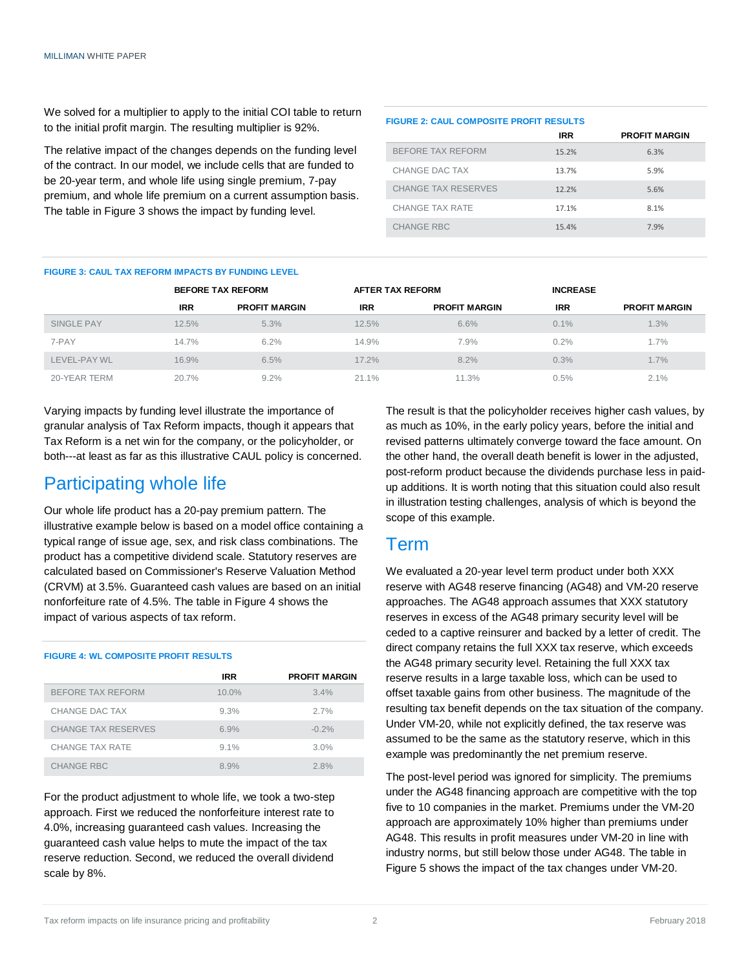We solved for a multiplier to apply to the initial COI table to return to the initial profit margin. The resulting multiplier is 92%.

The relative impact of the changes depends on the funding level of the contract. In our model, we include cells that are funded to be 20-year term, and whole life using single premium, 7-pay premium, and whole life premium on a current assumption basis. The table in Figure 3 shows the impact by funding level.

| <b>FIGURE 2: CAUL COMPOSITE PROFIT RESULTS</b> |                      |  |  |  |
|------------------------------------------------|----------------------|--|--|--|
| <b>IRR</b>                                     | <b>PROFIT MARGIN</b> |  |  |  |
| 15.2%                                          | 6.3%                 |  |  |  |
| 13.7%                                          | 5.9%                 |  |  |  |
| 12.2%                                          | 5.6%                 |  |  |  |
| 17.1%                                          | 8.1%                 |  |  |  |
| 15.4%                                          | 7.9%                 |  |  |  |
|                                                |                      |  |  |  |

#### **FIGURE 3: CAUL TAX REFORM IMPACTS BY FUNDING LEVEL**

|              |            | <b>BEFORE TAX REFORM</b> | <b>AFTER TAX REFORM</b> |                      | <b>INCREASE</b> |                      |
|--------------|------------|--------------------------|-------------------------|----------------------|-----------------|----------------------|
|              | <b>IRR</b> | <b>PROFIT MARGIN</b>     | <b>IRR</b>              | <b>PROFIT MARGIN</b> | <b>IRR</b>      | <b>PROFIT MARGIN</b> |
| SINGLE PAY   | 12.5%      | 5.3%                     | 12.5%                   | 6.6%                 | 0.1%            | $1.3\%$              |
| 7-PAY        | 14.7%      | 6.2%                     | 14.9%                   | 7.9%                 | 0.2%            | $1.7\%$              |
| LEVEL-PAY WL | 16.9%      | 6.5%                     | 17.2%                   | 8.2%                 | 0.3%            | 1.7%                 |
| 20-YEAR TERM | 20.7%      | 9.2%                     | 21.1%                   | 11.3%                | 0.5%            | 2.1%                 |

Varying impacts by funding level illustrate the importance of granular analysis of Tax Reform impacts, though it appears that Tax Reform is a net win for the company, or the policyholder, or both---at least as far as this illustrative CAUL policy is concerned.

### Participating whole life

Our whole life product has a 20-pay premium pattern. The illustrative example below is based on a model office containing a typical range of issue age, sex, and risk class combinations. The product has a competitive dividend scale. Statutory reserves are calculated based on Commissioner's Reserve Valuation Method (CRVM) at 3.5%. Guaranteed cash values are based on an initial nonforfeiture rate of 4.5%. The table in Figure 4 shows the impact of various aspects of tax reform.

#### **FIGURE 4: WL COMPOSITE PROFIT RESULTS**

|                            | <b>IRR</b> | <b>PROFIT MARGIN</b> |
|----------------------------|------------|----------------------|
| BEFORE TAX REFORM          | $10.0\%$   | 3.4%                 |
| CHANGE DAC TAX             | 9.3%       | 2.7%                 |
| <b>CHANGE TAX RESERVES</b> | 6.9%       | $-0.2%$              |
| CHANGE TAX RATE            | $9.1\%$    | 3.0%                 |
| <b>CHANGE RBC</b>          | 8.9%       | 2.8%                 |

For the product adjustment to whole life, we took a two-step approach. First we reduced the nonforfeiture interest rate to 4.0%, increasing guaranteed cash values. Increasing the guaranteed cash value helps to mute the impact of the tax reserve reduction. Second, we reduced the overall dividend scale by 8%.

The result is that the policyholder receives higher cash values, by as much as 10%, in the early policy years, before the initial and revised patterns ultimately converge toward the face amount. On the other hand, the overall death benefit is lower in the adjusted, post-reform product because the dividends purchase less in paidup additions. It is worth noting that this situation could also result in illustration testing challenges, analysis of which is beyond the scope of this example.

### Term

We evaluated a 20-year level term product under both XXX reserve with AG48 reserve financing (AG48) and VM-20 reserve approaches. The AG48 approach assumes that XXX statutory reserves in excess of the AG48 primary security level will be ceded to a captive reinsurer and backed by a letter of credit. The direct company retains the full XXX tax reserve, which exceeds the AG48 primary security level. Retaining the full XXX tax reserve results in a large taxable loss, which can be used to offset taxable gains from other business. The magnitude of the resulting tax benefit depends on the tax situation of the company. Under VM-20, while not explicitly defined, the tax reserve was assumed to be the same as the statutory reserve, which in this example was predominantly the net premium reserve.

The post-level period was ignored for simplicity. The premiums under the AG48 financing approach are competitive with the top five to 10 companies in the market. Premiums under the VM-20 approach are approximately 10% higher than premiums under AG48. This results in profit measures under VM-20 in line with industry norms, but still below those under AG48. The table in Figure 5 shows the impact of the tax changes under VM-20.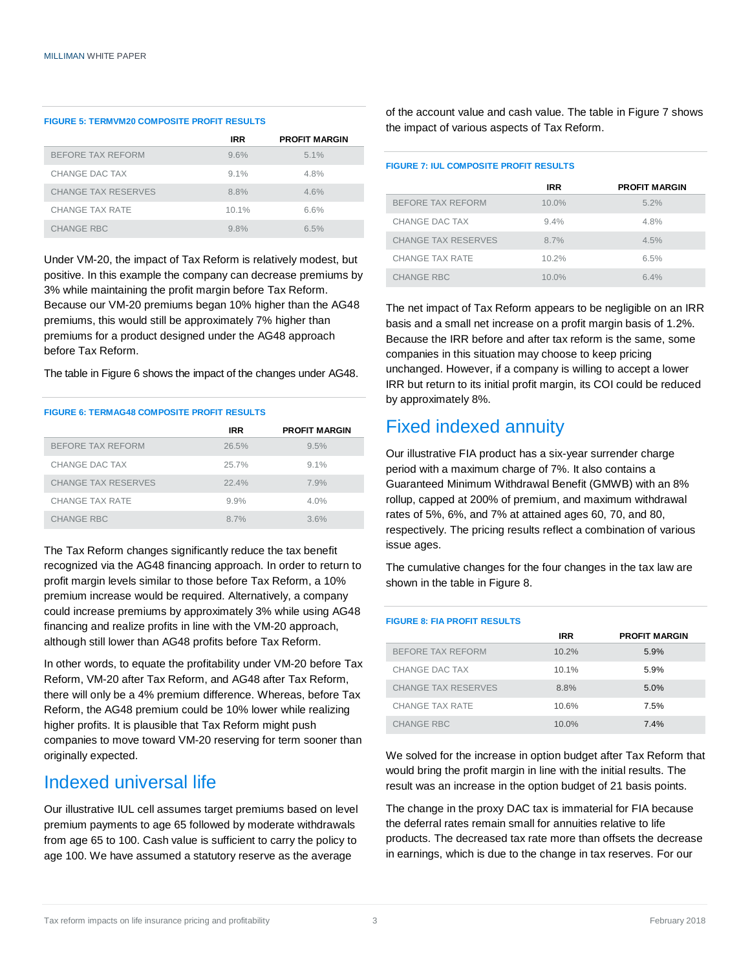#### **FIGURE 5: TERMVM20 COMPOSITE PROFIT RESULTS**

|                            | <b>IRR</b> | <b>PROFIT MARGIN</b> |
|----------------------------|------------|----------------------|
| BEFORE TAX REFORM          | 9.6%       | 5.1%                 |
| CHANGE DAC TAX             | $9.1\%$    | 4.8%                 |
| <b>CHANGE TAX RESERVES</b> | 8.8%       | 4.6%                 |
| CHANGE TAX RATE            | 10.1%      | 6.6%                 |
| <b>CHANGE RBC</b>          | 9.8%       | 6.5%                 |

Under VM-20, the impact of Tax Reform is relatively modest, but positive. In this example the company can decrease premiums by 3% while maintaining the profit margin before Tax Reform. Because our VM-20 premiums began 10% higher than the AG48 premiums, this would still be approximately 7% higher than premiums for a product designed under the AG48 approach before Tax Reform.

The table in Figure 6 shows the impact of the changes under AG48.

#### **FIGURE 6: TERMAG48 COMPOSITE PROFIT RESULTS**

|                            | <b>IRR</b> | <b>PROFIT MARGIN</b> |
|----------------------------|------------|----------------------|
| BEFORE TAX REFORM          | 26.5%      | 9.5%                 |
| CHANGE DAC TAX             | 25.7%      | $9.1\%$              |
| <b>CHANGE TAX RESERVES</b> | 22.4%      | 7.9%                 |
| CHANGE TAX RATE            | 9.9%       | 4.0%                 |
| <b>CHANGE RBC</b>          | 8.7%       | 3.6%                 |

The Tax Reform changes significantly reduce the tax benefit recognized via the AG48 financing approach. In order to return to profit margin levels similar to those before Tax Reform, a 10% premium increase would be required. Alternatively, a company could increase premiums by approximately 3% while using AG48 financing and realize profits in line with the VM-20 approach, although still lower than AG48 profits before Tax Reform.

In other words, to equate the profitability under VM-20 before Tax Reform, VM-20 after Tax Reform, and AG48 after Tax Reform, there will only be a 4% premium difference. Whereas, before Tax Reform, the AG48 premium could be 10% lower while realizing higher profits. It is plausible that Tax Reform might push companies to move toward VM-20 reserving for term sooner than originally expected.

### Indexed universal life

Our illustrative IUL cell assumes target premiums based on level premium payments to age 65 followed by moderate withdrawals from age 65 to 100. Cash value is sufficient to carry the policy to age 100. We have assumed a statutory reserve as the average

of the account value and cash value. The table in Figure 7 shows the impact of various aspects of Tax Reform.

#### **FIGURE 7: IUL COMPOSITE PROFIT RESULTS**

|                            | <b>IRR</b> | <b>PROFIT MARGIN</b> |
|----------------------------|------------|----------------------|
| <b>BEFORE TAX REFORM</b>   | $10.0\%$   | 5.2%                 |
| CHANGE DAC TAX             | 9.4%       | 4.8%                 |
| <b>CHANGE TAX RESERVES</b> | 8.7%       | 4.5%                 |
| CHANGE TAX RATE            | 10.2%      | 6.5%                 |
| <b>CHANGE RBC</b>          | $10.0\%$   | 64%                  |

The net impact of Tax Reform appears to be negligible on an IRR basis and a small net increase on a profit margin basis of 1.2%. Because the IRR before and after tax reform is the same, some companies in this situation may choose to keep pricing unchanged. However, if a company is willing to accept a lower IRR but return to its initial profit margin, its COI could be reduced by approximately 8%.

### Fixed indexed annuity

Our illustrative FIA product has a six-year surrender charge period with a maximum charge of 7%. It also contains a Guaranteed Minimum Withdrawal Benefit (GMWB) with an 8% rollup, capped at 200% of premium, and maximum withdrawal rates of 5%, 6%, and 7% at attained ages 60, 70, and 80, respectively. The pricing results reflect a combination of various issue ages.

The cumulative changes for the four changes in the tax law are shown in the table in Figure 8.

#### **FIGURE 8: FIA PROFIT RESULTS**

|                            | <b>IRR</b> | <b>PROFIT MARGIN</b> |
|----------------------------|------------|----------------------|
| BEFORE TAX REFORM          | 10.2%      | 5.9%                 |
| CHANGE DAC TAX             | 10.1%      | 5.9%                 |
| <b>CHANGE TAX RESERVES</b> | 8.8%       | 5.0%                 |
| CHANGE TAX RATE            | 10.6%      | 7.5%                 |
| <b>CHANGE RBC</b>          | $10.0\%$   | 7.4%                 |

We solved for the increase in option budget after Tax Reform that would bring the profit margin in line with the initial results. The result was an increase in the option budget of 21 basis points.

The change in the proxy DAC tax is immaterial for FIA because the deferral rates remain small for annuities relative to life products. The decreased tax rate more than offsets the decrease in earnings, which is due to the change in tax reserves. For our